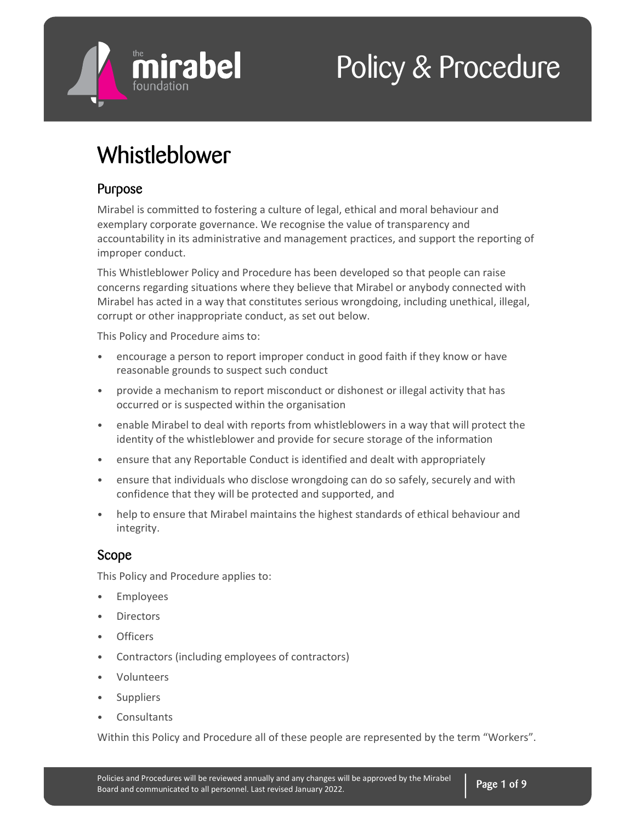

# Policy & Procedure

## Whistleblower

## Purpose

Mirabel is committed to fostering a culture of legal, ethical and moral behaviour and exemplary corporate governance. We recognise the value of transparency and accountability in its administrative and management practices, and support the reporting of improper conduct.

This Whistleblower Policy and Procedure has been developed so that people can raise concerns regarding situations where they believe that Mirabel or anybody connected with Mirabel has acted in a way that constitutes serious wrongdoing, including unethical, illegal, corrupt or other inappropriate conduct, as set out below.

This Policy and Procedure aims to:

- encourage a person to report improper conduct in good faith if they know or have reasonable grounds to suspect such conduct
- provide a mechanism to report misconduct or dishonest or illegal activity that has occurred or is suspected within the organisation
- enable Mirabel to deal with reports from whistleblowers in a way that will protect the identity of the whistleblower and provide for secure storage of the information
- ensure that any Reportable Conduct is identified and dealt with appropriately
- ensure that individuals who disclose wrongdoing can do so safely, securely and with confidence that they will be protected and supported, and
- help to ensure that Mirabel maintains the highest standards of ethical behaviour and integrity.

## Scope

This Policy and Procedure applies to:

- Employees
- **Directors**
- Officers
- Contractors (including employees of contractors)
- Volunteers
- Suppliers
- **Consultants**

Within this Policy and Procedure all of these people are represented by the term "Workers".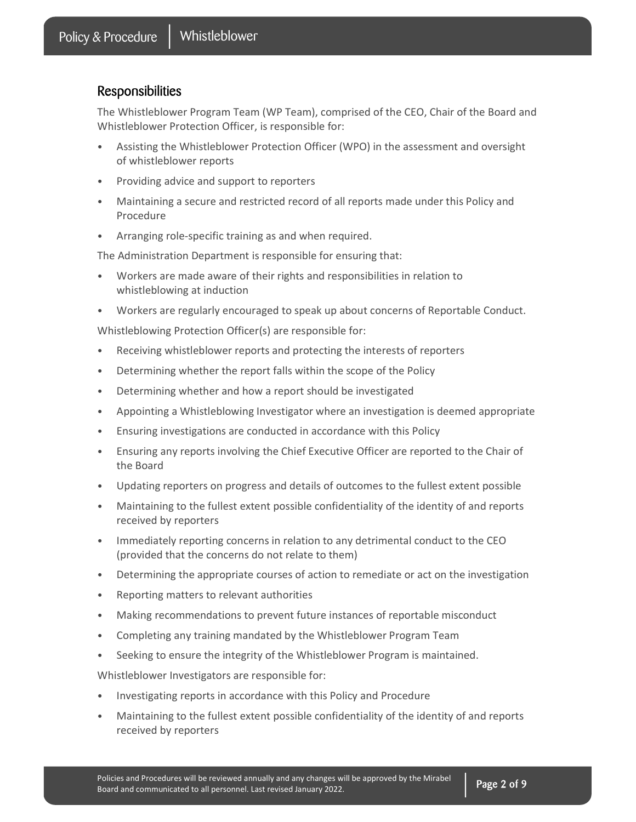### Responsibilities

The Whistleblower Program Team (WP Team), comprised of the CEO, Chair of the Board and Whistleblower Protection Officer, is responsible for:

- Assisting the Whistleblower Protection Officer (WPO) in the assessment and oversight of whistleblower reports
- Providing advice and support to reporters
- Maintaining a secure and restricted record of all reports made under this Policy and Procedure
- Arranging role-specific training as and when required.

The Administration Department is responsible for ensuring that:

- Workers are made aware of their rights and responsibilities in relation to whistleblowing at induction
- Workers are regularly encouraged to speak up about concerns of Reportable Conduct.

Whistleblowing Protection Officer(s) are responsible for:

- Receiving whistleblower reports and protecting the interests of reporters
- Determining whether the report falls within the scope of the Policy
- Determining whether and how a report should be investigated
- Appointing a Whistleblowing Investigator where an investigation is deemed appropriate
- Ensuring investigations are conducted in accordance with this Policy
- Ensuring any reports involving the Chief Executive Officer are reported to the Chair of the Board
- Updating reporters on progress and details of outcomes to the fullest extent possible
- Maintaining to the fullest extent possible confidentiality of the identity of and reports received by reporters
- Immediately reporting concerns in relation to any detrimental conduct to the CEO (provided that the concerns do not relate to them)
- Determining the appropriate courses of action to remediate or act on the investigation
- Reporting matters to relevant authorities
- Making recommendations to prevent future instances of reportable misconduct
- Completing any training mandated by the Whistleblower Program Team
- Seeking to ensure the integrity of the Whistleblower Program is maintained.

Whistleblower Investigators are responsible for:

- Investigating reports in accordance with this Policy and Procedure
- Maintaining to the fullest extent possible confidentiality of the identity of and reports received by reporters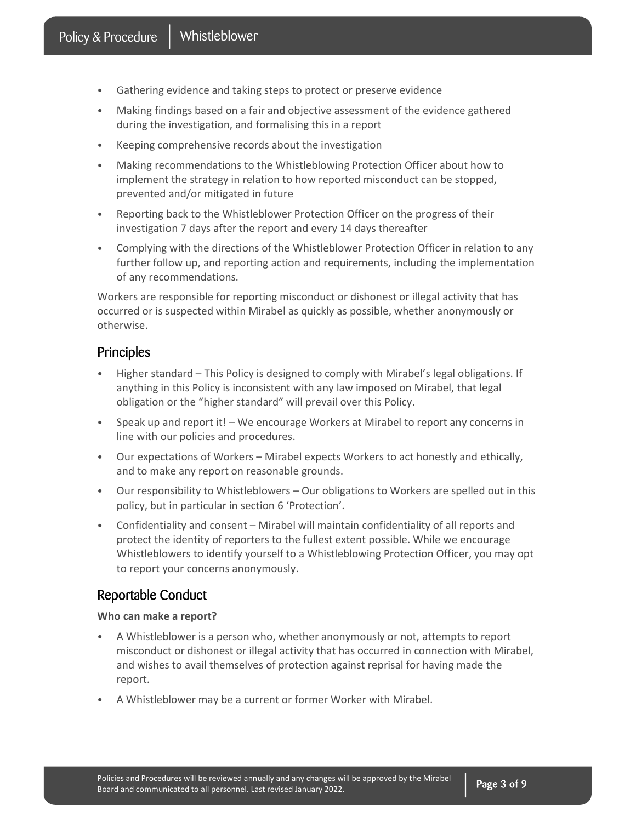- Gathering evidence and taking steps to protect or preserve evidence
- Making findings based on a fair and objective assessment of the evidence gathered during the investigation, and formalising this in a report
- Keeping comprehensive records about the investigation
- Making recommendations to the Whistleblowing Protection Officer about how to implement the strategy in relation to how reported misconduct can be stopped, prevented and/or mitigated in future
- Reporting back to the Whistleblower Protection Officer on the progress of their investigation 7 days after the report and every 14 days thereafter
- Complying with the directions of the Whistleblower Protection Officer in relation to any further follow up, and reporting action and requirements, including the implementation of any recommendations.

Workers are responsible for reporting misconduct or dishonest or illegal activity that has occurred or is suspected within Mirabel as quickly as possible, whether anonymously or otherwise.

## Principles

- Higher standard This Policy is designed to comply with Mirabel's legal obligations. If anything in this Policy is inconsistent with any law imposed on Mirabel, that legal obligation or the "higher standard" will prevail over this Policy.
- Speak up and report it! We encourage Workers at Mirabel to report any concerns in line with our policies and procedures.
- Our expectations of Workers Mirabel expects Workers to act honestly and ethically, and to make any report on reasonable grounds.
- Our responsibility to Whistleblowers Our obligations to Workers are spelled out in this policy, but in particular in section 6 'Protection'.
- Confidentiality and consent Mirabel will maintain confidentiality of all reports and protect the identity of reporters to the fullest extent possible. While we encourage Whistleblowers to identify yourself to a Whistleblowing Protection Officer, you may opt to report your concerns anonymously.

## Reportable Conduct

#### Who can make a report?

- A Whistleblower is a person who, whether anonymously or not, attempts to report misconduct or dishonest or illegal activity that has occurred in connection with Mirabel, and wishes to avail themselves of protection against reprisal for having made the report.
- A Whistleblower may be a current or former Worker with Mirabel.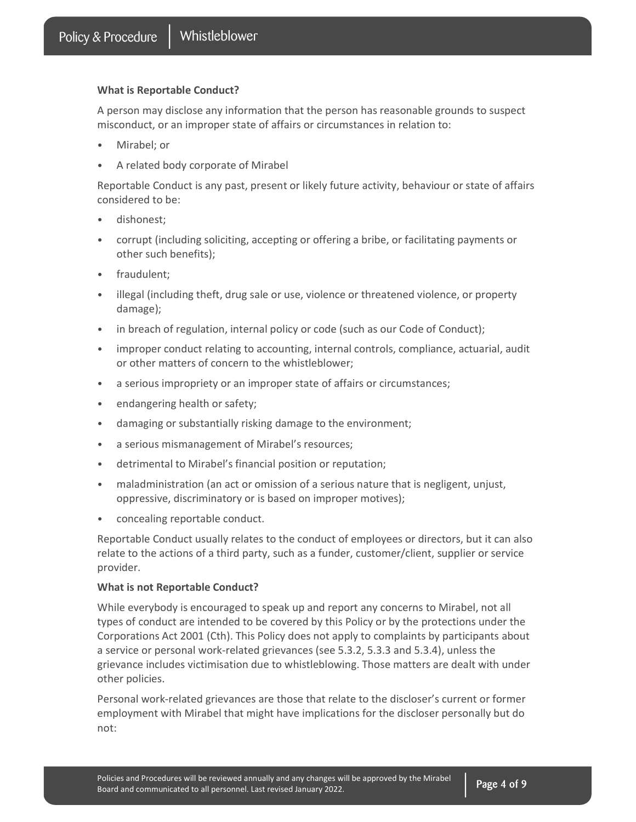#### What is Reportable Conduct?

A person may disclose any information that the person has reasonable grounds to suspect misconduct, or an improper state of affairs or circumstances in relation to:

- Mirabel; or
- A related body corporate of Mirabel

Reportable Conduct is any past, present or likely future activity, behaviour or state of affairs considered to be:

- dishonest;
- corrupt (including soliciting, accepting or offering a bribe, or facilitating payments or other such benefits);
- fraudulent;
- illegal (including theft, drug sale or use, violence or threatened violence, or property damage);
- in breach of regulation, internal policy or code (such as our Code of Conduct);
- improper conduct relating to accounting, internal controls, compliance, actuarial, audit or other matters of concern to the whistleblower;
- a serious impropriety or an improper state of affairs or circumstances;
- endangering health or safety;
- damaging or substantially risking damage to the environment;
- a serious mismanagement of Mirabel's resources;
- detrimental to Mirabel's financial position or reputation;
- maladministration (an act or omission of a serious nature that is negligent, unjust, oppressive, discriminatory or is based on improper motives);
- concealing reportable conduct.

Reportable Conduct usually relates to the conduct of employees or directors, but it can also relate to the actions of a third party, such as a funder, customer/client, supplier or service provider.

#### What is not Reportable Conduct?

While everybody is encouraged to speak up and report any concerns to Mirabel, not all types of conduct are intended to be covered by this Policy or by the protections under the Corporations Act 2001 (Cth). This Policy does not apply to complaints by participants about a service or personal work-related grievances (see 5.3.2, 5.3.3 and 5.3.4), unless the grievance includes victimisation due to whistleblowing. Those matters are dealt with under other policies.

Personal work-related grievances are those that relate to the discloser's current or former employment with Mirabel that might have implications for the discloser personally but do not: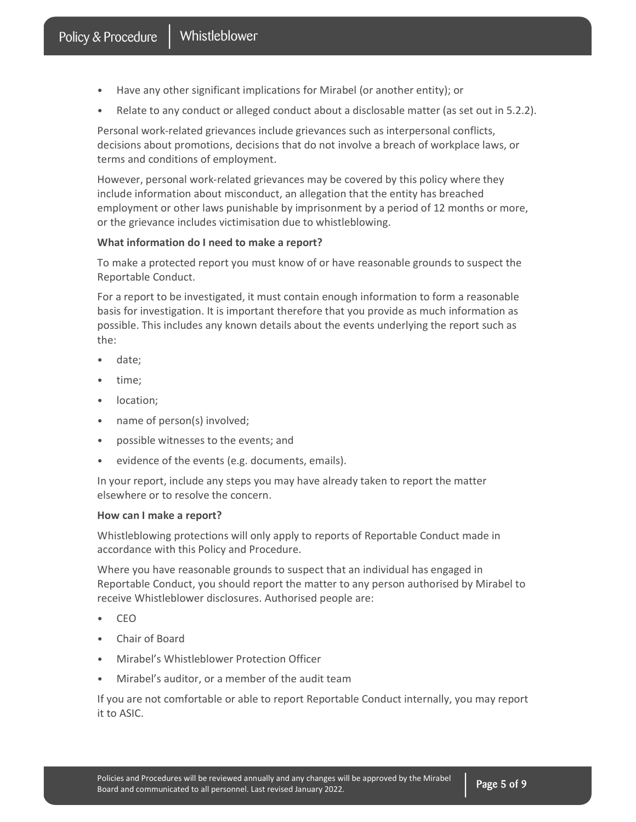- Have any other significant implications for Mirabel (or another entity); or
- Relate to any conduct or alleged conduct about a disclosable matter (as set out in 5.2.2).

Personal work-related grievances include grievances such as interpersonal conflicts, decisions about promotions, decisions that do not involve a breach of workplace laws, or terms and conditions of employment.

However, personal work-related grievances may be covered by this policy where they include information about misconduct, an allegation that the entity has breached employment or other laws punishable by imprisonment by a period of 12 months or more, or the grievance includes victimisation due to whistleblowing.

#### What information do I need to make a report?

To make a protected report you must know of or have reasonable grounds to suspect the Reportable Conduct.

For a report to be investigated, it must contain enough information to form a reasonable basis for investigation. It is important therefore that you provide as much information as possible. This includes any known details about the events underlying the report such as the:

- date;
- time;
- location;
- name of person(s) involved;
- possible witnesses to the events; and
- evidence of the events (e.g. documents, emails).

In your report, include any steps you may have already taken to report the matter elsewhere or to resolve the concern.

#### How can I make a report?

Whistleblowing protections will only apply to reports of Reportable Conduct made in accordance with this Policy and Procedure.

Where you have reasonable grounds to suspect that an individual has engaged in Reportable Conduct, you should report the matter to any person authorised by Mirabel to receive Whistleblower disclosures. Authorised people are:

- CEO
- Chair of Board
- Mirabel's Whistleblower Protection Officer
- Mirabel's auditor, or a member of the audit team

If you are not comfortable or able to report Reportable Conduct internally, you may report it to ASIC.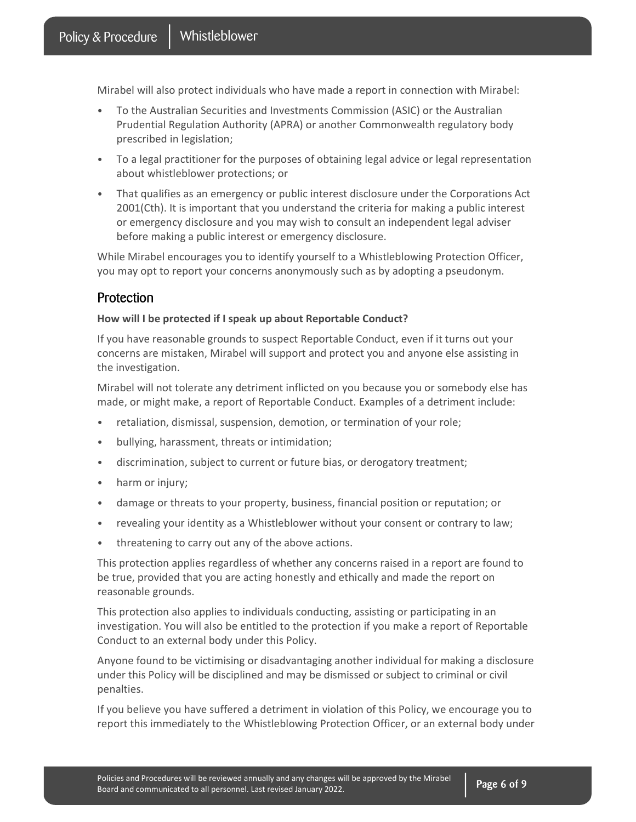Mirabel will also protect individuals who have made a report in connection with Mirabel:

- To the Australian Securities and Investments Commission (ASIC) or the Australian Prudential Regulation Authority (APRA) or another Commonwealth regulatory body prescribed in legislation;
- To a legal practitioner for the purposes of obtaining legal advice or legal representation about whistleblower protections; or
- That qualifies as an emergency or public interest disclosure under the Corporations Act 2001(Cth). It is important that you understand the criteria for making a public interest or emergency disclosure and you may wish to consult an independent legal adviser before making a public interest or emergency disclosure.

While Mirabel encourages you to identify yourself to a Whistleblowing Protection Officer, you may opt to report your concerns anonymously such as by adopting a pseudonym.

## **Protection**

#### How will I be protected if I speak up about Reportable Conduct?

If you have reasonable grounds to suspect Reportable Conduct, even if it turns out your concerns are mistaken, Mirabel will support and protect you and anyone else assisting in the investigation.

Mirabel will not tolerate any detriment inflicted on you because you or somebody else has made, or might make, a report of Reportable Conduct. Examples of a detriment include:

- retaliation, dismissal, suspension, demotion, or termination of your role;
- bullying, harassment, threats or intimidation;
- discrimination, subject to current or future bias, or derogatory treatment;
- harm or injury;
- damage or threats to your property, business, financial position or reputation; or
- revealing your identity as a Whistleblower without your consent or contrary to law;
- threatening to carry out any of the above actions.

This protection applies regardless of whether any concerns raised in a report are found to be true, provided that you are acting honestly and ethically and made the report on reasonable grounds.

This protection also applies to individuals conducting, assisting or participating in an investigation. You will also be entitled to the protection if you make a report of Reportable Conduct to an external body under this Policy.

Anyone found to be victimising or disadvantaging another individual for making a disclosure under this Policy will be disciplined and may be dismissed or subject to criminal or civil penalties.

If you believe you have suffered a detriment in violation of this Policy, we encourage you to report this immediately to the Whistleblowing Protection Officer, or an external body under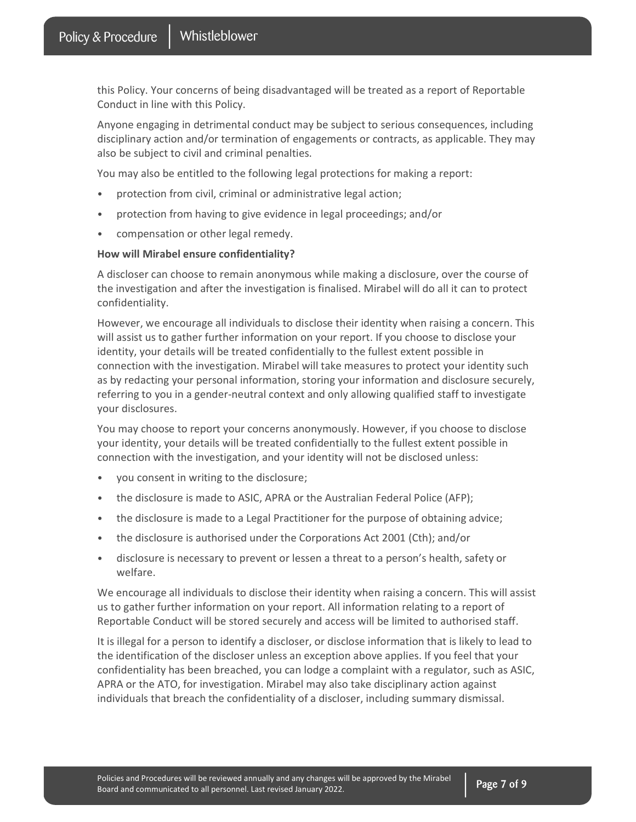this Policy. Your concerns of being disadvantaged will be treated as a report of Reportable Conduct in line with this Policy.

Anyone engaging in detrimental conduct may be subject to serious consequences, including disciplinary action and/or termination of engagements or contracts, as applicable. They may also be subject to civil and criminal penalties.

You may also be entitled to the following legal protections for making a report:

- protection from civil, criminal or administrative legal action;
- protection from having to give evidence in legal proceedings; and/or
- compensation or other legal remedy.

#### How will Mirabel ensure confidentiality?

A discloser can choose to remain anonymous while making a disclosure, over the course of the investigation and after the investigation is finalised. Mirabel will do all it can to protect confidentiality.

However, we encourage all individuals to disclose their identity when raising a concern. This will assist us to gather further information on your report. If you choose to disclose your identity, your details will be treated confidentially to the fullest extent possible in connection with the investigation. Mirabel will take measures to protect your identity such as by redacting your personal information, storing your information and disclosure securely, referring to you in a gender-neutral context and only allowing qualified staff to investigate your disclosures.

You may choose to report your concerns anonymously. However, if you choose to disclose your identity, your details will be treated confidentially to the fullest extent possible in connection with the investigation, and your identity will not be disclosed unless:

- you consent in writing to the disclosure;
- the disclosure is made to ASIC, APRA or the Australian Federal Police (AFP);
- the disclosure is made to a Legal Practitioner for the purpose of obtaining advice;
- the disclosure is authorised under the Corporations Act 2001 (Cth); and/or
- disclosure is necessary to prevent or lessen a threat to a person's health, safety or welfare.

We encourage all individuals to disclose their identity when raising a concern. This will assist us to gather further information on your report. All information relating to a report of Reportable Conduct will be stored securely and access will be limited to authorised staff.

It is illegal for a person to identify a discloser, or disclose information that is likely to lead to the identification of the discloser unless an exception above applies. If you feel that your confidentiality has been breached, you can lodge a complaint with a regulator, such as ASIC, APRA or the ATO, for investigation. Mirabel may also take disciplinary action against individuals that breach the confidentiality of a discloser, including summary dismissal.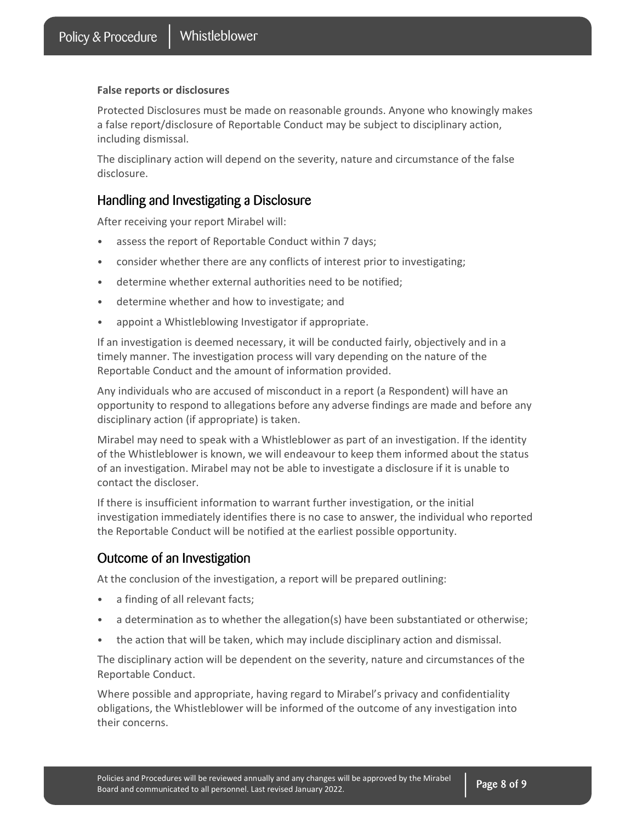#### False reports or disclosures

Protected Disclosures must be made on reasonable grounds. Anyone who knowingly makes a false report/disclosure of Reportable Conduct may be subject to disciplinary action, including dismissal.

The disciplinary action will depend on the severity, nature and circumstance of the false disclosure.

#### Handling and Investigating a Disclosure

After receiving your report Mirabel will:

- assess the report of Reportable Conduct within 7 days;
- consider whether there are any conflicts of interest prior to investigating;
- determine whether external authorities need to be notified;
- determine whether and how to investigate; and
- appoint a Whistleblowing Investigator if appropriate.

If an investigation is deemed necessary, it will be conducted fairly, objectively and in a timely manner. The investigation process will vary depending on the nature of the Reportable Conduct and the amount of information provided.

Any individuals who are accused of misconduct in a report (a Respondent) will have an opportunity to respond to allegations before any adverse findings are made and before any disciplinary action (if appropriate) is taken.

Mirabel may need to speak with a Whistleblower as part of an investigation. If the identity of the Whistleblower is known, we will endeavour to keep them informed about the status of an investigation. Mirabel may not be able to investigate a disclosure if it is unable to contact the discloser.

If there is insufficient information to warrant further investigation, or the initial investigation immediately identifies there is no case to answer, the individual who reported the Reportable Conduct will be notified at the earliest possible opportunity.

#### Outcome of an Investigation

At the conclusion of the investigation, a report will be prepared outlining:

- a finding of all relevant facts;
- a determination as to whether the allegation(s) have been substantiated or otherwise;
- the action that will be taken, which may include disciplinary action and dismissal.

The disciplinary action will be dependent on the severity, nature and circumstances of the Reportable Conduct.

Where possible and appropriate, having regard to Mirabel's privacy and confidentiality obligations, the Whistleblower will be informed of the outcome of any investigation into their concerns.